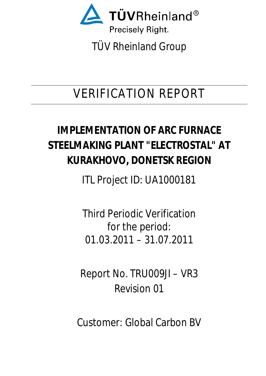

# VERIFICATION REPORT

# **IMPLEMENTATION OF ARC FURNACE STEELMAKING PLANT "ELECTROSTAL" AT KURAKHOVO, DONETSK REGION**

ITL Project ID: UA1000181

Third Periodic Verification for the period: 01.03.2011 – 31.07.2011

Report No. TRU009JI – VR3 Revision 01

Customer: Global Carbon BV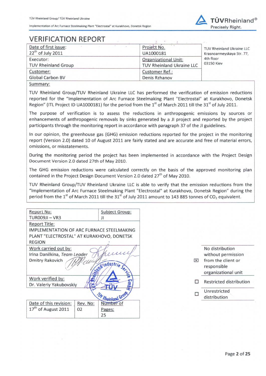

# **VERIFICATION REPORT**

| Date of first issue:<br>$22th$ of July 2011 | $1 - 4$<br>Project No.<br>UA1000181 | TUV Rheinland Ukraine LLC<br>Krasnoarmeyskaya Str. 77, |
|---------------------------------------------|-------------------------------------|--------------------------------------------------------|
| Executor:                                   | <b>Organizational Unit:</b>         | 4th floor<br>03150 Kiev                                |
| <b>TUV Rheinland Group</b>                  | TUV Rheinland Ukraine LLC           |                                                        |
| Customer:                                   | <b>Customer Ref.:</b>               |                                                        |
| <b>Global Carbon BV</b>                     | Denis Rzhanov                       |                                                        |
| $S_{I}$                                     |                                     |                                                        |

Summary:

TUV Rheinland Group/TUV Rheinland Ukraine LLC has performed the verification of emission reductions reported for the "Implementation of Arc Furnace Steelmaking Plant "Electrostal" at Kurakhovo, Donetsk Region" (ITL Project ID UA1000181) for the period from the 1<sup>st</sup> of March 2011 till the 31<sup>st</sup> of July 2011.

The purpose of verification is to assess the reductions in anthropogenic emissions by sources or enhancements of anthropogenic removals by sinks generated by a JI project and reported by the project participants through the monitoring report in accordance with paragraph 37 of the JI guidelines.

In our opinion, the greenhouse gas (GHG) emission reductions reported for the project in the monitoring report (Version 2.0) dated 10 of August 2011 are fairly stated and are accurate and free of material errors, omissions, or misstatements.

During the monitoring period the project has been implemented in accordance with the Project Design Document Version 2.0 dated 27th of May 2010.

The GHG emission reductions were calculated correctly on the basis of the approved monitoring plan contained in the Project Design Document Version 2.0 dated 27<sup>th</sup> of May 2010.

TUV Rheinland Group/TUV Rheinland Ukraine LLC is able to verify that the emission reductions from the "Implementation of Arc Furnace Steelmaking Plant "Electrostal" at Kurakhovo, Donetsk Region" during the period from the  $1<sup>st</sup>$  of March 2011 till the 31<sup>st</sup> of July 2011 amount to 143 885 tonnes of CO<sub>2</sub> equivalent.

| <b>Report No:</b>                                |          | <b>Subject Group:</b> |
|--------------------------------------------------|----------|-----------------------|
| TUROO9JI – VR3                                   |          | JI                    |
| <b>Report Title:</b>                             |          |                       |
| <b>IMPLEMENTATION OF ARC FURNACE STEELMAKING</b> |          |                       |
| PLANT "ELECTROSTAL" AT KURAKHOVO, DONETSK        |          |                       |
| <b>REGION</b>                                    |          |                       |
| Work carried out by:                             |          |                       |
| Irina Danilkina, Team Leader                     |          | $\iota\iota$          |
| <b>Dmitry Rakovich</b>                           |          |                       |
|                                                  |          |                       |
|                                                  |          | Windustrie Service    |
| Work verified by:                                |          |                       |
| Dr. Valeriy Yakubovskiy                          |          |                       |
|                                                  |          |                       |
|                                                  |          | W Rheinland Grou      |
| Date of this revision:                           | Rev. No: | Number of             |
| 17 <sup>th</sup> of August 2011                  | 02       | Pages:                |
|                                                  |          | 25                    |

No distribution without permission  $X$  from the client or responsible organizational unit  $\Box$  Restricted distribution

Unrestricted П distribution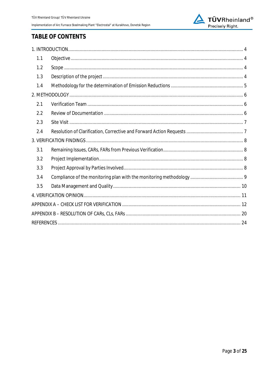

## **TABLE OF CONTENTS**

| 1.1 |  |
|-----|--|
| 1.2 |  |
| 1.3 |  |
| 1.4 |  |
|     |  |
| 2.1 |  |
| 2.2 |  |
| 2.3 |  |
| 2.4 |  |
|     |  |
| 3.1 |  |
| 3.2 |  |
| 3.3 |  |
| 3.4 |  |
| 3.5 |  |
|     |  |
|     |  |
|     |  |
|     |  |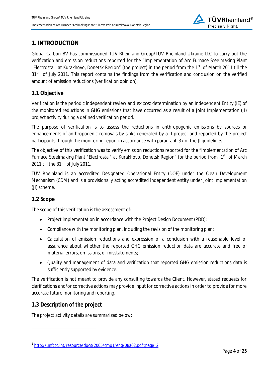

## **1. INTRODUCTION**

Global Carbon BV has commissioned TUV Rheinland Group/TUV Rheinland Ukraine LLC to carry out the verification and emission reductions reported for the "Implementation of Arc Furnace Steelmaking Plant "Electrostal" at Kurakhovo, Donetsk Region" (the project) in the period from the 1<sup>st</sup> of March 2011 till the 31<sup>th</sup> of July 2011. This report contains the findings from the verification and conclusion on the verified amount of emission reductions (verification opinion).

## **1.1 Objective**

Verification is the periodic independent review and *ex post* determination by an Independent Entity (IE) of the monitored reductions in GHG emissions that have occurred as a result of a Joint Implementation (JI) project activity during a defined verification period.

The purpose of verification is to assess the reductions in anthropogenic emissions by sources or enhancements of anthropogenic removals by sinks generated by a JI project and reported by the project participants through the monitoring report in accordance with paragraph 37 of the JI guidelines<sup>1</sup>.

The objective of this verification was to verify emission reductions reported for the "Implementation of Arc Furnace Steelmaking Plant "Electrostal" at Kurakhovo, Donetsk Region" for the period from 1<sup>st</sup> of March 2011 till the  $31<sup>th</sup>$  of July 2011.

TUV Rheinland is an accredited Designated Operational Entity (DOE) under the Clean Development Mechanism (CDM) and is a provisionally acting accredited independent entity under Joint Implementation (JI) scheme.

#### **1.2 Scope**

l

The scope of this verification is the assessment of:

- Project implementation in accordance with the Project Design Document (PDD);
- Compliance with the monitoring plan, including the revision of the monitoring plan;
- Calculation of emission reductions and expression of a conclusion with a reasonable level of assurance about whether the reported GHG emission reduction data are accurate and free of material errors, omissions, or misstatements;
- Quality and management of data and verification that reported GHG emission reductions data is sufficiently supported by evidence.

The verification is not meant to provide any consulting towards the Client. However, stated requests for clarifications and/or corrective actions may provide input for corrective actions in order to provide for more accurate future monitoring and reporting.

#### **1.3 Description of the project**

The project activity details are summarized below:

<sup>1</sup> http://unfccc.int/resource/docs/2005/cmp1/eng/08a02.pdf#page=2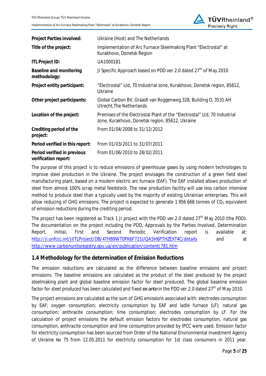

| Project Parties involved:                           | Ukraine (Host) and The Netherlands                                                                                           |
|-----------------------------------------------------|------------------------------------------------------------------------------------------------------------------------------|
| Title of the project:                               | Implementation of Arc Furnace Steelmaking Plant "Electrostal" at<br>Kurakhovo, Donetsk Region                                |
| <b>ITL Project ID:</b>                              | UA1000181                                                                                                                    |
| Baseline and monitoring<br>methodology:             | JI Specific Approach based on PDD ver.2.0 dated 27 <sup>th</sup> of May 2010                                                 |
| Project entity participant:                         | "Electrostal" Ltd, 70 Industrial zone, Kurakhovo, Donetsk region, 85612,<br>Ukraine                                          |
| Other project participants:                         | Global Carbon BV, Graadt van Roggenweg 328, Building D, 3531 AH<br>Utrecht, The Netherlands                                  |
| Location of the project:                            | Premises of the Electrostal Plant of the "Electrostal" Ltd, 70 Industrial<br>zone, Kurakhovo, Donetsk region, 85612, Ukraine |
| Crediting period of the<br>project:                 | From 01/04/2008 to 31/12/2012                                                                                                |
| Period verified in this report:                     | From 01/03/2011 to 31/07/2011                                                                                                |
| Period verified in previous<br>verification report: | From 01/06/2010 to 28/02/2011                                                                                                |

The purpose of this project is to reduce emissions of greenhouse gases by using modern technologies to improve steel production in the Ukraine. The project envisages the construction of a green field steel manufacturing plant, based on a modern electric arc furnace (EAF). The EAF installed allows production of steel from almost 100% scrap metal feedstock. The new production facility will use less carbon intensive method to produce steel than a typically used by the majority of existing Ukrainian enterprises. This will allow reducing of GHG emissions. The project is expected to generate 1 956 668 tonnes of  $CO<sub>2</sub>$  equivalent of emission reductions during the crediting period.

The project has been registered as Track 1 JI project with the PDD ver. 2.0 dated  $27<sup>th</sup>$  May 2010 (the PDD). The documentation on the project including the PDD, Approvals by the Parties Involved, Determination Report, Initial, First and Second Periodic Verification report is available at: http://ji.unfccc.int/JIITLProject/DB/4THB9WT0PK6F721UQA5H6PTHZEXT4C/details and at http://www.carbonunitsregistry.gov.ua/en/publication/content/781.htm

## **1.4 Methodology for the determination of Emission Reductions**

The emission reductions are calculated as the difference between baseline emissions and project emissions. The baseline emissions are calculated as the product of the steel produced by the project steelmaking plant and global baseline emission factor for steel produced. The global baseline emission factor for steel produced has been calculated and fixed *ex ante* in the PDD ver.2.0 dated 27<sup>th</sup> of May 2010.

The project emissions are calculated as the sum of GHG emissions associated with: electrodes consumption by EAF; oxygen consumption; electricity consumption by EAF and ladle furnace (LF); natural gas consumption; anthracite consumption; lime consumption; electrodes consumption by LF. For the calculation of project emissions the default emission factors for electrodes consumption, natural gas consumption, anthracite consumption and lime consumption provided by IPCC were used. Emission factor for electricity consumption has been sourced from Order of the National Environmental Investment Agency of Ukraine Nº 75 from 12.05.2011 for electricity consumption for 1st class consumers in 2011 year.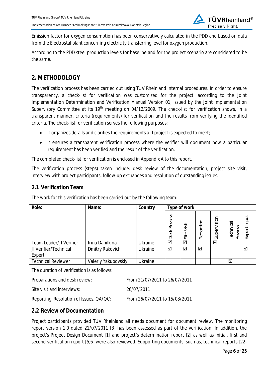

Emission factor for oxygen consumption has been conservatively calculated in the PDD and based on data from the Electrostal plant concerning electricity transferring level for oxygen production.

According to the PDD steel production levels for baseline and for the project scenario are considered to be the same.

## **2. METHODOLOGY**

The verification process has been carried out using TUV Rheinland internal procedures. In order to ensure transparency, a check-list for verification was customized for the project, according to the Joint Implementation Determination and Verification Manual Version 01, issued by the Joint Implementation Supervisory Committee at its 19<sup>th</sup> meeting on 04/12/2009. The check-list for verification shows, in a transparent manner, criteria (requirements) for verification and the results from verifying the identified criteria. The check-list for verification serves the following purposes:

- $\bullet$  It organizes details and clarifies the requirements a JI project is expected to meet;
- It ensures a transparent verification process where the verifier will document how a particular requirement has been verified and the result of the verification.

The completed check-list for verification is enclosed in Appendix A to this report.

The verification process (steps) taken include: desk review of the documentation, project site visit, interview with project participants, follow-up exchanges and resolution of outstanding issues.

### **2.1 Verification Team**

The work for this verification has been carried out by the following team:

| Role:                     | Name:               | Country        | Type of work   |               |           |                 |                     |                |
|---------------------------|---------------------|----------------|----------------|---------------|-----------|-----------------|---------------------|----------------|
|                           |                     |                | Review<br>Desk | Visit<br>Site | Reporting | vision<br>Super | Technical<br>Review | Input<br>Exper |
| Team Leader/JI Verifier   | Irina Danilkina     | Ukraine        | ☑              | ☑             |           | ☑               |                     |                |
| JI Verifier/Technical     | Dmitry Rakovich     | Ukraine        | ☑              | ⊻             | ☑         |                 |                     | ☑              |
| Expert                    |                     |                |                |               |           |                 |                     |                |
| <b>Technical Reviewer</b> | Valeriy Yakubovskiy | <b>Ukraine</b> |                |               |           |                 | ☑                   |                |

The duration of verification is as follows:

| Preparations and desk review: |  |  |
|-------------------------------|--|--|
|                               |  |  |

Preparations and desk review: From 21/07/2011 to 26/07/2011

Site visit and interviews: 26/07/2011

Reporting, Resolution of Issues, QA/QC: From 26/07/2011 to 15/08/2011

## **2.2 Review of Documentation**

Project participants provided TUV Rheinland all needs document for document review. The monitoring report version 1.0 dated 21/07/2011 [3] has been assessed as part of the verification. In addition, the project's Project Design Document [1] and project's determination report [2] as well as initial, first and second verification report [5,6] were also reviewed. Supporting documents, such as, technical reports [22-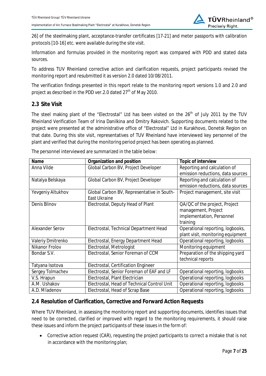

26] of the steelmaking plant, acceptance-transfer certificates [17-21] and meter passports with calibration protocols [10-16] etc. were available during the site visit.

Information and formulas provided in the monitoring report was compared with PDD and stated data sources.

To address TUV Rheinland corrective action and clarification requests, project participants revised the monitoring report and resubmitted it as version 2.0 dated 10/08/2011.

The verification findings presented in this report relate to the monitoring report versions 1.0 and 2.0 and project as described in the PDD ver. 2.0 dated  $27<sup>th</sup>$  of May 2010.

## **2.3 Site Visit**

The steel making plant of the "Electrostal" Ltd has been visited on the 26<sup>th</sup> of July 2011 by the TUV Rheinland Verification Team of Irina Danilkina and Dmitry Rakovich. Supporting documents related to the project were presented at the administrative office of "Electrostal" Ltd in Kurakhovo, Donetsk Region on that date. During this site visit, representatives of TUV Rheinland have interviewed key personnel of the plant and verified that during the monitoring period project has been operating as planned.

| Name                   | Organization and position                   | Topic of interview                |
|------------------------|---------------------------------------------|-----------------------------------|
| Anna Vilde             | Global Carbon BV, Project Developer         | Reporting and calculation of      |
|                        |                                             | emission reductions, data sources |
| Natalya Belskaya       | Global Carbon BV, Project Developer         | Reporting and calculation of      |
|                        |                                             | emission reductions, data sources |
| Yevgeniy Altukhov      | Global Carbon BV, Representative in South-  | Project management, site visit    |
|                        | <b>East Ukraine</b>                         |                                   |
| Denis Blinov           | Electrostal, Deputy Head of Plant           | QA/QC of the project, Project     |
|                        |                                             | management, Project               |
|                        |                                             | implementation, Personnel         |
|                        |                                             | training                          |
| <b>Alexander Serov</b> | Electrostal, Technical Department Head      | Operational reporting, logbooks,  |
|                        |                                             | plant visit, monitoring equipment |
| Valeriy Dmitrenko      | Electrostal, Energy Department Head         | Operational reporting, logbooks   |
| Nikanor Frolov         | Electrostal, Metrologist                    | Monitoring equipment              |
| Bondar S.V.            | Electrostal, Senior Foreman of CCM          | Preparation of the shipping yard  |
|                        |                                             | technical reports                 |
| Tatyana Isotova        | Electrostal, Certification Engineer         |                                   |
| Sergey Tolmachev       | Electrostal, Senior Foreman of EAF and LF   | Operational reporting, logbooks   |
| V.S. Hrapun            | Electrostal, Plant Electrician              | Operational reporting, logbooks   |
| A.M. Ushakov           | Electrostal, Head of Technical Control Unit | Operational reporting, logbooks   |
| A.D. Mladenov          | Electrostal, Head of Scrap Base             | Operational reporting, logbooks   |

The personnel interviewed are summarized in the table below:

## **2.4 Resolution of Clarification, Corrective and Forward Action Requests**

Where TUV Rheinland, in assessing the monitoring report and supporting documents, identifies issues that need to be corrected, clarified or improved with regard to the monitoring requirements, it should raise these issues and inform the project participants of these issues in the form of:

• Corrective action request (CAR), requesting the project participants to correct a mistake that is not in accordance with the monitoring plan;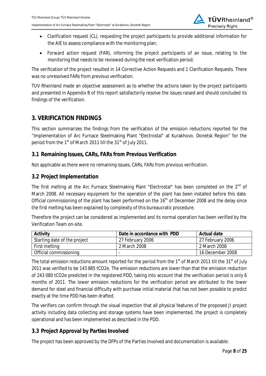

- Clarification request (CL), requesting the project participants to provide additional information for the AIE to assess compliance with the monitoring plan;
- Forward action request (FAR), informing the project participants of an issue, relating to the monitoring that needs to be reviewed during the next verification period.

The verification of the project resulted in 14 Corrective Action Requests and 1 Clarification Requests. There was no unresolved FARs from previous verification.

TUV Rheinland made an objective assessment as to whether the actions taken by the project participants and presented in Appendix B of this report satisfactorily resolve the issues raised and should concluded its findings of the verification.

## **3. VERIFICATION FINDINGS**

This section summarizes the findings from the verification of the emission reductions reported for the "Implementation of Arc Furnace Steelmaking Plant "Electrostal" at Kurakhovo, Donetsk Region" for the period from the  $1<sup>st</sup>$  of March 2011 till the  $31<sup>st</sup>$  of July 2011.

## **3.1 Remaining Issues, CARs, FARs from Previous Verification**

Not applicable as there were no remaining issues, CARs, FARs from previous verification.

### **3.2 Project Implementation**

The first melting at the Arc Furnace Steelmaking Plant "Electrostal" has been completed on the 2<sup>nd</sup> of March 2008. All necessary equipment for the operation of the plant has been installed before this date. Official commissioning of the plant has been performed on the 16<sup>th</sup> of December 2008 and the delay since the first melting has been explained by complexity of this bureaucratic procedure.

Therefore the project can be considered as implemented and its normal operation has been verified by the Verification Team on-site.

| Activity                     | Date in accordance with PDD | Actual date      |
|------------------------------|-----------------------------|------------------|
| Starting date of the project | 27 February 2006            | 27 February 2006 |
| First melting                | 2 March 2008                | 2 March 2008     |
| Official commissioning       |                             | 16 December 2008 |

The total emission reductions amount reported for the period from the 1<sup>st</sup> of March 2011 till the 31<sup>st</sup> of July 2011 was verified to be 143 885 tCO2e. The emission reductions are lower than that the emission reduction of 243 080 tCO2e predicted in the registered PDD, taking into account that the verification period is only 6 months of 2011. The lower emission reductions for the verification period are attributed to the lower demand for steel and financial difficulty with purchase initial material that has not been possible to predict exactly at the time PDD has been drafted.

The verifiers can confirm through the visual inspection that all physical features of the proposed JI project activity including data collecting and storage systems have been implemented, the project is completely operational and has been implemented as described in the PDD.

## **3.3 Project Approval by Parties Involved**

The project has been approved by the DFPs of the Parties Involved and documentation is available: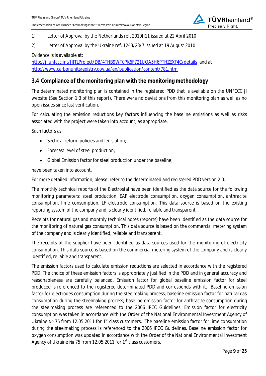

#### 1) Letter of Approval by the Netherlands ref. 2010JI11 issued at 22 April 2010

#### 2) Letter of Approval by the Ukraine ref. 1243/23/7 issued at 19 August 2010

Evidence is is available at:

http://ji.unfccc.int/JIITLProject/DB/4THB9WT0PK6F721UQA5H6PTHZEXT4C/details and at http://www.carbonunitsregistry.gov.ua/en/publication/content/781.htm

#### **3.4 Compliance of the monitoring plan with the monitoring methodology**

The determinated monitoring plan is contained in the registered PDD that is available on the UNFCCC JI website (See Section 1.3 of this report). There were no deviations from this monitoring plan as well as no open issues since last verification.

For calculating the emission reductions key factors influencing the baseline emissions as well as risks associated with the project were taken into account, as appropriate.

Such factors as:

- $\bullet$  Sectoral reform policies and legislation;
- $\bullet$  Forecast level of steel production;
- Global Emission factor for steel production under the baseline;

have been taken into account.

For more detailed information, please, refer to the determinated and registered PDD version 2.0.

The monthly technical reports of the Electrostal have been identified as the data source for the following monitoring parameters: steel production, EAF electrode consumption, oxygen consumption, anthracite consumption, lime consumption, LF electrode consumption. This data source is based on the existing reporting system of the company and is clearly identified, reliable and transparent.

Receipts for natural gas and monthly technical notes (reports) have been identified as the data source for the monitoring of natural gas consumption. This data source is based on the commercial metering system of the company and is clearly identified, reliable and transparent.

The receipts of the supplier have been identified as data sources used for the monitoring of electricity consumption. This data source is based on the commercial metering system of the company and is clearly identified, reliable and transparent.

The emission factors used to calculate emission reductions are selected in accordance with the registered PDD. The choice of these emission factors is appropriately justified in the PDD and in general accuracy and reasonableness are carefully balanced. Emission factor for global baseline emission factor for steel produced is referenced to the registered determinated PDD and corresponds with it. Baseline emission factor for electrodes consumption during the steelmaking process; baseline emission factor for natural gas consumption during the steelmaking process; baseline emission factor for anthracite consumption during the steelmaking process are referenced to the 2006 IPCC Guidelines. Emission factor for electricity consumption was taken in accordance with the Order of the National Environmental Investment Agency of Ukraine Nº 75 from 12.05.2011 for 1<sup>st</sup> class customers. The baseline emission factor for lime consumption during the steelmaking process is referenced to the 2006 IPCC Guidelines. Baseline emission factor for oxygen consumption was updated in accordance with the Order of the National Environmental Investment Agency of Ukraine Nº 75 from 12.05.2011 for 1<sup>st</sup> class customers.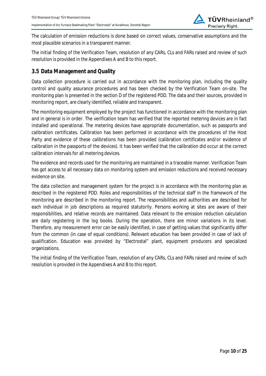

The calculation of emission reductions is done based on correct values, conservative assumptions and the most plausible scenarios in a transparent manner.

The initial finding of the Verification Team, resolution of any CARs, CLs and FARs raised and review of such resolution is provided in the Appendixes A and B to this report.

## **3.5 Data Management and Quality**

Data collection procedure is carried out in accordance with the monitoring plan, including the quality control and quality assurance procedures and has been checked by the Verification Team on-site. The monitoring plan is presented in the section D of the registered PDD. The data and their sources, provided in monitoring report, are clearly identified, reliable and transparent.

The monitoring equipment employed by the project has functioned in accordance with the monitoring plan and in general is in order. The verification team has verified that the reported metering devices are in fact installed and operational. The metering devices have appropriate documentation, such as passports and calibration certificates. Calibration has been performed in accordance with the procedures of the Host Party and evidence of these calibrations has been provided (calibration certificates and/or evidence of calibration in the passports of the devices). It has been verified that the calibration did occur at the correct calibration intervals for all metering devices.

The evidence and records used for the monitoring are maintained in a traceable manner. Verification Team has got access to all necessary data on monitoring system and emission reductions and received necessary evidence on site.

The data collection and management system for the project is in accordance with the monitoring plan as described in the registered PDD. Roles and responsibilities of the technical staff in the framework of the monitoring are described in the monitoring report. The responsibilities and authorities are described for each individual in job descriptions as required statutorily. Persons working at sites are aware of their responsibilities, and relative records are maintained. Data relevant to the emission reduction calculation are daily registering in the log books. During the operation, there are minor variations in its level. Therefore, any measurement error can be easily identified, in case of getting values that significantly differ from the common (in case of equal conditions). Relevant education has been provided in case of lack of qualification. Education was provided by "Electrostal" plant, equipment producers and specialized organizations.

The initial finding of the Verification Team, resolution of any CARs, CLs and FARs raised and review of such resolution is provided in the Appendixes A and B to this report.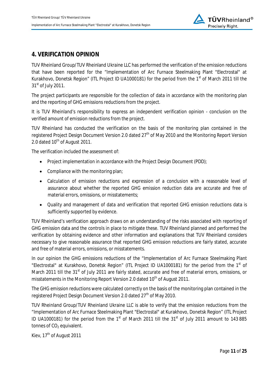## **4. VERIFICATION OPINION**

TUV Rheinland Group/TUV Rheinland Ukraine LLC has performed the verification of the emission reductions that have been reported for the "Implementation of Arc Furnace Steelmaking Plant "Electrostal" at Kurakhovo, Donetsk Region" (ITL Project ID UA1000181) for the period from the 1 $st$  of March 2011 till the  $31<sup>st</sup>$  of July 2011.

The project participants are responsible for the collection of data in accordance with the monitoring plan and the reporting of GHG emissions reductions from the project.

It is TUV Rheinland's responsibility to express an independent verification opinion - conclusion on the verified amount of emission reductions from the project.

TUV Rheinland has conducted the verification on the basis of the monitoring plan contained in the registered Project Design Document Version 2.0 dated 27<sup>th</sup> of May 2010 and the Monitoring Report Version 2.0 dated  $10^{th}$  of August 2011.

The verification included the assessment of:

- Project implementation in accordance with the Project Design Document (PDD);
- $\bullet$  Compliance with the monitoring plan;
- Calculation of emission reductions and expression of a conclusion with a reasonable level of assurance about whether the reported GHG emission reduction data are accurate and free of material errors, omissions, or misstatements;
- Quality and management of data and verification that reported GHG emission reductions data is sufficiently supported by evidence.

TUV Rheinland's verification approach draws on an understanding of the risks associated with reporting of GHG emission data and the controls in place to mitigate these. TUV Rheinland planned and performed the verification by obtaining evidence and other information and explanations that TUV Rheinland considers necessary to give reasonable assurance that reported GHG emission reductions are fairly stated, accurate and free of material errors, omissions, or misstatements.

In our opinion the GHG emissions reductions of the "Implementation of Arc Furnace Steelmaking Plant "Electrostal" at Kurakhovo, Donetsk Region" (ITL Project ID UA1000181) for the period from the 1<sup>st</sup> of March 2011 till the 31<sup>st</sup> of July 2011 are fairly stated, accurate and free of material errors, omissions, or misstatements in the Monitoring Report Version 2.0 dated 10<sup>th</sup> of August 2011.

The GHG emission reductions were calculated correctly on the basis of the monitoring plan contained in the registered Project Design Document Version 2.0 dated 27<sup>th</sup> of May 2010.

TUV Rheinland Group/TUV Rheinland Ukraine LLC is able to verify that the emission reductions from the "Implementation of Arc Furnace Steelmaking Plant "Electrostal" at Kurakhovo, Donetsk Region" (ITL Project ID UA1000181) for the period from the 1<sup>st</sup> of March 2011 till the 31<sup>st</sup> of July 2011 amount to 143 885 tonnes of  $CO<sub>2</sub>$  equivalent.

Kiev, 17<sup>th</sup> of August 2011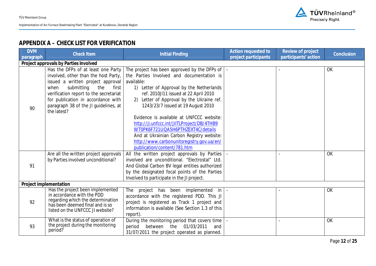

## **APPENDIX A – CHECK LIST FOR VERIFICATION**

| <b>DVM</b><br>paragraph | <b>Check Item</b>                                                                                                                                                                                                                                                                          | <b>Initial Finding</b>                                                                                                                                                                                                                                                                                                                                                                                                                                                                                                                         | Action requested to<br>project participants | Review of project<br>participants' action | Conclusion |  |
|-------------------------|--------------------------------------------------------------------------------------------------------------------------------------------------------------------------------------------------------------------------------------------------------------------------------------------|------------------------------------------------------------------------------------------------------------------------------------------------------------------------------------------------------------------------------------------------------------------------------------------------------------------------------------------------------------------------------------------------------------------------------------------------------------------------------------------------------------------------------------------------|---------------------------------------------|-------------------------------------------|------------|--|
|                         | Project approvals by Parties Involved                                                                                                                                                                                                                                                      |                                                                                                                                                                                                                                                                                                                                                                                                                                                                                                                                                |                                             |                                           |            |  |
| 90                      | Has the DFPs of at least one Party<br>involved, other than the host Party,<br>issued a written project approval<br>submitting the<br>when<br>first<br>verification report to the secretariat<br>for publication in accordance with<br>paragraph 38 of the JI guidelines, at<br>the latest? | The project has been approved by the DFPs of $\vert$ -<br>the Parties Involved and documentation is<br>available:<br>1) Letter of Approval by the Netherlands<br>ref. 2010JI11 issued at 22 April 2010<br>Letter of Approval by the Ukraine ref.<br>1243/23/7 issued at 19 August 2010<br>Evidence is available at UNFCCC website:<br>http://ji.unfccc.int/JIITLProject/DB/4THB9<br>WT0PK6F721UQA5H6PTHZEXT4C/details<br>And at Ukrainian Carbon Registry website:<br>http://www.carbonunitsregistry.gov.ua/en/<br>publication/content/781.htm |                                             |                                           | OK         |  |
| 91                      | Are all the written project approvals<br>by Parties involved unconditional?                                                                                                                                                                                                                | All the written project approvals by Parties<br>involved are unconditional. "Electrostal" Ltd.<br>And Global Carbon BV legal entities authorized<br>by the designated focal points of the Parties<br>Involved to participate in the JI project.                                                                                                                                                                                                                                                                                                |                                             |                                           | <b>OK</b>  |  |
|                         | Project implementation                                                                                                                                                                                                                                                                     |                                                                                                                                                                                                                                                                                                                                                                                                                                                                                                                                                |                                             |                                           |            |  |
| 92                      | Has the project been implemented<br>in accordance with the PDD<br>regarding which the determination<br>has been deemed final and is so<br>listed on the UNFCCC JI website?                                                                                                                 | The<br>project has been implemented in<br>accordance with the registered PDD. This JI<br>project is registered as Track 1 project and<br>information is available (See Section 1.3 of this<br>report).                                                                                                                                                                                                                                                                                                                                         |                                             |                                           | OK         |  |
| 93                      | What is the status of operation of<br>the project during the monitoring<br>period?                                                                                                                                                                                                         | During the monitoring period that covers time<br>between the<br>01/03/2011<br>period<br>and<br>31/07/2011 the project operated as planned.                                                                                                                                                                                                                                                                                                                                                                                                     |                                             |                                           | OK         |  |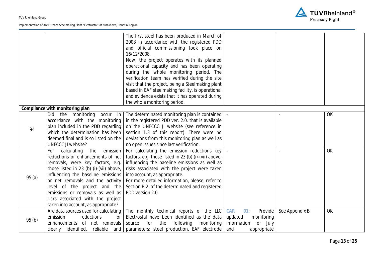

|       |                                         | The first steel has been produced in March of         |                       |                |           |
|-------|-----------------------------------------|-------------------------------------------------------|-----------------------|----------------|-----------|
|       |                                         | 2008 in accordance with the registered PDD            |                       |                |           |
|       |                                         | and official commissioning took place on              |                       |                |           |
|       |                                         | 16/12/2008.                                           |                       |                |           |
|       |                                         | Now, the project operates with its planned            |                       |                |           |
|       |                                         | operational capacity and has been operating           |                       |                |           |
|       |                                         | during the whole monitoring period. The               |                       |                |           |
|       |                                         | verification team has verified during the site        |                       |                |           |
|       |                                         | visit that the project, being a Steelmaking plant     |                       |                |           |
|       |                                         | based in EAF steelmaking facility, is operational     |                       |                |           |
|       |                                         | and evidence exists that it has operated during       |                       |                |           |
|       |                                         | the whole monitoring period.                          |                       |                |           |
|       | Compliance with monitoring plan         |                                                       |                       |                |           |
|       | Did the monitoring<br>occur in          | The determinated monitoring plan is contained         |                       |                | OK        |
|       | accordance with the monitoring          | in the registered PDD ver. 2.0. that is available     |                       |                |           |
| 94    | plan included in the PDD regarding      | on the UNFCCC JI website (see reference in            |                       |                |           |
|       | which the determination has been        | section 1.3 of this report). There were no            |                       |                |           |
|       | deemed final and is so listed on the    | deviations from this monitoring plan as well as       |                       |                |           |
|       | UNFCCC JI website?                      | no open issues since last verification.               |                       |                |           |
|       | the<br>calculating<br>emission<br>For   | For calculating the emission reductions key           |                       |                | OK        |
|       | reductions or enhancements of net       | factors, e.g. those listed in 23 (b) (i)-(vii) above, |                       |                |           |
|       | removals, were key factors, e.g.        | influencing the baseline emissions as well as         |                       |                |           |
|       | those listed in 23 (b) (i)-(vii) above, | risks associated with the project were taken          |                       |                |           |
| 95(a) | influencing the baseline emissions      | into account, as appropriate.                         |                       |                |           |
|       | or net removals and the activity        | For more detailed information, please, refer to       |                       |                |           |
|       | level of the project and the            | Section B.2. of the determinated and registered       |                       |                |           |
|       | emissions or removals as well as        | PDD version 2.0.                                      |                       |                |           |
|       | risks associated with the project       |                                                       |                       |                |           |
|       | taken into account, as appropriate?     |                                                       |                       |                |           |
|       | Are data sources used for calculating   | The monthly technical reports of the LLC              | CAR<br>Provide<br>01  | See Appendix B | <b>OK</b> |
|       | emission<br>reductions<br><b>or</b>     | Electrostal have been identified as the data          | updated<br>monitoring |                |           |
| 95(b) | enhancements of net removals            | following<br>monitoring<br>for the<br>source          | information for July  |                |           |
|       | clearly identified, reliable and        | parameters: steel production, EAF electrode           | and<br>appropriate    |                |           |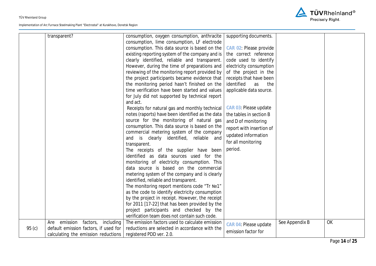

|       | transparent?                          | consumption, oxygen consumption, anthracite      | supporting documents.    |                |    |
|-------|---------------------------------------|--------------------------------------------------|--------------------------|----------------|----|
|       |                                       | consumption, lime consumption, LF electrode      |                          |                |    |
|       |                                       | consumption. This data source is based on the    | CAR 02: Please provide   |                |    |
|       |                                       | existing reporting system of the company and is  | the correct reference    |                |    |
|       |                                       | clearly identified, reliable and transparent.    | code used to identify    |                |    |
|       |                                       | However, during the time of preparations and     | electricity consumption  |                |    |
|       |                                       | reviewing of the monitoring report provided by   | of the project in the    |                |    |
|       |                                       | the project participants became evidence that    | receipts that have been  |                |    |
|       |                                       | the monitoring period hasn't finished on the     | identified<br>as<br>the  |                |    |
|       |                                       | time verification have been started and values   | applicable data source.  |                |    |
|       |                                       | for July did not supported by technical report   |                          |                |    |
|       |                                       | and act.                                         |                          |                |    |
|       |                                       | Receipts for natural gas and monthly technical   | CAR 03: Please update    |                |    |
|       |                                       | notes (raports) have been identified as the data | the tables in section B  |                |    |
|       |                                       | source for the monitoring of natural gas         | and D of monitoring      |                |    |
|       |                                       | consumption. This data source is based on the    | report with insertion of |                |    |
|       |                                       | commercial metering system of the company        |                          |                |    |
|       |                                       | and is clearly identified, reliable and          | updated information      |                |    |
|       |                                       | transparent.                                     | for all monitoring       |                |    |
|       |                                       | The receipts of the supplier have been           | period.                  |                |    |
|       |                                       | identified as data sources used for the          |                          |                |    |
|       |                                       | monitoring of electricity consumption. This      |                          |                |    |
|       |                                       | data source is based on the commercial           |                          |                |    |
|       |                                       | metering system of the company and is clearly    |                          |                |    |
|       |                                       | identified, reliable and transparent.            |                          |                |    |
|       |                                       | The monitoring report mentions code "Tr №1"      |                          |                |    |
|       |                                       | as the code to identify electricity consumption  |                          |                |    |
|       |                                       | by the project in receipt. However, the receipt  |                          |                |    |
|       |                                       | for 2011 [17-22] that has been provided by the   |                          |                |    |
|       |                                       | project participants and checked by the          |                          |                |    |
|       |                                       | verification team does not contain such code.    |                          |                |    |
|       | emission factors,<br>including<br>Are | The emission factors used to calculate emission  | CAR 04: Please update    | See Appendix B | OK |
| 95(c) | default emission factors, if used for | reductions are selected in accordance with the   |                          |                |    |
|       | calculating the emission reductions   | registered PDD ver. 2.0.                         | emission factor for      |                |    |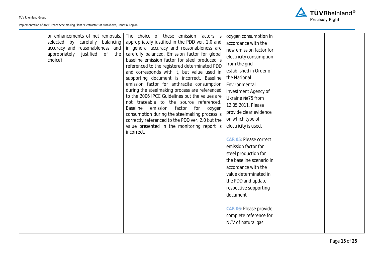

| or enhancements of net removals,<br>selected by carefully balancing<br>accuracy and reasonableness, and<br>appropriately justified of the<br>choice? | The choice of these emission factors is<br>appropriately justified in the PDD ver. 2.0 and<br>in general accuracy and reasonableness are<br>carefully balanced. Emission factor for global<br>baseline emission factor for steel produced is<br>referenced to the registered determinated PDD<br>and corresponds with it, but value used in<br>supporting document is incorrect. Baseline<br>emission factor for anthracite consumption<br>during the steelmaking process are referenced<br>to the 2006 IPCC Guidelines but the values are<br>not traceable to the source referenced.<br><b>Baseline</b><br>emission<br>factor<br>for<br>oxygen<br>consumption during the steelmaking process is<br>correctly referenced to the PDD ver. 2.0 but the<br>value presented in the monitoring report is<br>incorrect. | oxygen consumption in<br>accordance with the<br>new emission factor for<br>electricity consumption<br>from the grid<br>established in Order of<br>the National<br>Environmental<br>Investment Agency of<br>Ukraine Nº75 from<br>12.05.2011. Please<br>provide clear evidence<br>on which type of<br>electricity is used.<br>CAR 05: Please correct<br>emission factor for<br>steel production for<br>the baseline scenario in<br>accordance with the<br>value determinated in<br>the PDD and update<br>respective supporting<br>document<br>CAR 06: Please provide<br>complete reference for<br>NCV of natural gas |  |  |
|------------------------------------------------------------------------------------------------------------------------------------------------------|-------------------------------------------------------------------------------------------------------------------------------------------------------------------------------------------------------------------------------------------------------------------------------------------------------------------------------------------------------------------------------------------------------------------------------------------------------------------------------------------------------------------------------------------------------------------------------------------------------------------------------------------------------------------------------------------------------------------------------------------------------------------------------------------------------------------|--------------------------------------------------------------------------------------------------------------------------------------------------------------------------------------------------------------------------------------------------------------------------------------------------------------------------------------------------------------------------------------------------------------------------------------------------------------------------------------------------------------------------------------------------------------------------------------------------------------------|--|--|
|------------------------------------------------------------------------------------------------------------------------------------------------------|-------------------------------------------------------------------------------------------------------------------------------------------------------------------------------------------------------------------------------------------------------------------------------------------------------------------------------------------------------------------------------------------------------------------------------------------------------------------------------------------------------------------------------------------------------------------------------------------------------------------------------------------------------------------------------------------------------------------------------------------------------------------------------------------------------------------|--------------------------------------------------------------------------------------------------------------------------------------------------------------------------------------------------------------------------------------------------------------------------------------------------------------------------------------------------------------------------------------------------------------------------------------------------------------------------------------------------------------------------------------------------------------------------------------------------------------------|--|--|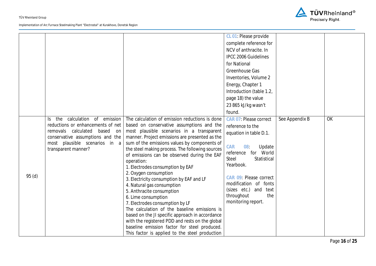

|                   |                                       |                                                 | CL 01: Please provide                   |                |           |
|-------------------|---------------------------------------|-------------------------------------------------|-----------------------------------------|----------------|-----------|
|                   |                                       |                                                 | complete reference for                  |                |           |
|                   |                                       |                                                 | NCV of anthracite. In                   |                |           |
|                   |                                       |                                                 | <b>IPCC 2006 Guidelines</b>             |                |           |
|                   |                                       |                                                 | for National                            |                |           |
|                   |                                       |                                                 | Greenhouse Gas                          |                |           |
|                   |                                       |                                                 | Inventories, Volume 2                   |                |           |
|                   |                                       |                                                 | Energy, Chapter 1                       |                |           |
|                   |                                       |                                                 | Introduction (table 1.2,                |                |           |
|                   |                                       |                                                 | page 18) the value                      |                |           |
|                   |                                       |                                                 | 23 865 kJ/kg wasn't                     |                |           |
|                   |                                       |                                                 | found.                                  |                |           |
|                   | calculation of emission<br>the<br>Is. | The calculation of emission reductions is done  | CAR 07: Please correct                  | See Appendix B | <b>OK</b> |
|                   | reductions or enhancements of net     | based on conservative assumptions and the       | reference to the                        |                |           |
|                   | removals calculated<br>based<br>on    | most plausible scenarios in a transparent       | equation in table D.1.                  |                |           |
|                   | conservative assumptions and the      | manner. Project emissions are presented as the  |                                         |                |           |
|                   | most plausible scenarios in a         | sum of the emissions values by components of    | <b>CAR</b><br>08 <sup>°</sup><br>Update |                |           |
|                   | transparent manner?                   | the steel making process. The following sources | reference for World                     |                |           |
|                   |                                       | of emissions can be observed during the EAF     | <b>Steel</b><br>Statistical             |                |           |
|                   |                                       | operation:<br>1. Electrodes consumption by EAF  | Yearbook.                               |                |           |
|                   |                                       | 2. Oxygen consumption                           |                                         |                |           |
| 95 <sub>(d)</sub> |                                       | 3. Electricity consumption by EAF and LF        | CAR 09: Please correct                  |                |           |
|                   |                                       | 4. Natural gas consumption                      | modification of fonts                   |                |           |
|                   |                                       | 5. Anthracite consumption                       | (sizes etc.) and text                   |                |           |
|                   |                                       | 6. Lime consumption                             | throughout<br>the                       |                |           |
|                   |                                       | 7. Electrodes consumption by LF                 | monitoring report.                      |                |           |
|                   |                                       | The calculation of the baseline emissions is    |                                         |                |           |
|                   |                                       | based on the JI specific approach in accordance |                                         |                |           |
|                   |                                       | with the registered PDD and rests on the global |                                         |                |           |
|                   |                                       | baseline emission factor for steel produced.    |                                         |                |           |
|                   |                                       | This factor is applied to the steel production  |                                         |                |           |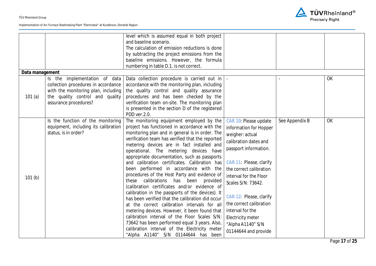

|                 |                                                                                                                                                                         | level which is assumed equal in both project<br>and baseline scenario.<br>The calculation of emission reductions is done<br>by subtracting the project emissions from the<br>baseline emissions. However, the formula<br>numbering in table D.1. is not correct.                                                                                                                                                                                                                                                                                                                                                                                                                                                                                                                                                                                                                                                                                                              |                                                                                                                                                                                                                                                                                                                                                                        |                |    |
|-----------------|-------------------------------------------------------------------------------------------------------------------------------------------------------------------------|-------------------------------------------------------------------------------------------------------------------------------------------------------------------------------------------------------------------------------------------------------------------------------------------------------------------------------------------------------------------------------------------------------------------------------------------------------------------------------------------------------------------------------------------------------------------------------------------------------------------------------------------------------------------------------------------------------------------------------------------------------------------------------------------------------------------------------------------------------------------------------------------------------------------------------------------------------------------------------|------------------------------------------------------------------------------------------------------------------------------------------------------------------------------------------------------------------------------------------------------------------------------------------------------------------------------------------------------------------------|----------------|----|
| Data management |                                                                                                                                                                         |                                                                                                                                                                                                                                                                                                                                                                                                                                                                                                                                                                                                                                                                                                                                                                                                                                                                                                                                                                               |                                                                                                                                                                                                                                                                                                                                                                        |                |    |
| 101(a)          | Is the implementation of data<br>collection procedures in accordance<br>with the monitoring plan, including<br>the quality control and quality<br>assurance procedures? | Data collection procedure is carried out in<br>accordance with the monitoring plan, including<br>the quality control and quality assurance<br>procedures and has been checked by the<br>verification team on-site. The monitoring plan<br>is presented in the section D of the registered<br>PDD ver.2.0.                                                                                                                                                                                                                                                                                                                                                                                                                                                                                                                                                                                                                                                                     |                                                                                                                                                                                                                                                                                                                                                                        |                | OK |
| 101(b)          | Is the function of the monitoring<br>equipment, including its calibration<br>status, is in order?                                                                       | The monitoring equipment employed by the<br>project has functioned in accordance with the<br>monitoring plan and in general is in order. The<br>verification team has verified that the reported<br>metering devices are in fact installed and<br>operational. The metering devices have<br>appropriate documentation, such as passports<br>and calibration certificates. Calibration has<br>been performed in accordance with the<br>procedures of the Host Party and evidence of<br>these calibrations has been provided<br>(calibration certificates and/or evidence of<br>calibration in the passports of the devices). It<br>has been verified that the calibration did occur<br>at the correct calibration intervals for all<br>metering devices. However, it been found that<br>calibration interval of the Floor Scales S/N:<br>73642 has been performed equal 3 years. Also,<br>calibration interval of the Electricity meter<br>"Alpha A1140" S/N 01144644 has been | CAR 10: Please update<br>information for Hopper<br>weigher: actual<br>calibration dates and<br>passport information.<br>CAR 11: Please, clarify<br>the correct calibration<br>interval for the Floor<br>Scales S/N: 73642.<br>CAR 12: Please, clarify<br>the correct calibration<br>interval for the<br>Electricity meter<br>"Alpha A1140" S/N<br>01144644 and provide | See Appendix B | OK |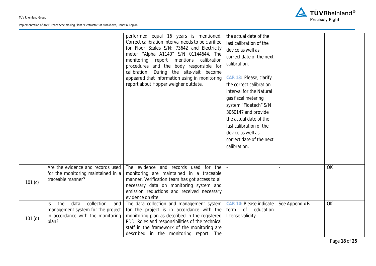

|        |                                                                                                                            | performed equal 16 years is mentioned.<br>Correct calibration interval needs to be clarified<br>for Floor Scales S/N: 73642 and Electricity<br>meter "Alpha A1140" S/N 01144644. The<br>monitoring report mentions calibration<br>procedures and the body responsible for<br>calibration. During the site-visit become<br>appeared that information using in monitoring<br>report about Hopper weigher outdate. | the actual date of the<br>last calibration of the<br>device as well as<br>correct date of the next<br>calibration.<br>CAR 13: Please, clarify<br>the correct calibration<br>interval for the Natural<br>gas fiscal metering<br>system "Floetech" S/N<br>3060147 and provide<br>the actual date of the<br>last calibration of the<br>device as well as<br>correct date of the next<br>calibration. |                |    |
|--------|----------------------------------------------------------------------------------------------------------------------------|-----------------------------------------------------------------------------------------------------------------------------------------------------------------------------------------------------------------------------------------------------------------------------------------------------------------------------------------------------------------------------------------------------------------|---------------------------------------------------------------------------------------------------------------------------------------------------------------------------------------------------------------------------------------------------------------------------------------------------------------------------------------------------------------------------------------------------|----------------|----|
| 101(c) | Are the evidence and records used<br>for the monitoring maintained in a<br>traceable manner?                               | The evidence and records used for the<br>monitoring are maintained in a traceable<br>manner. Verification team has got access to all<br>necessary data on monitoring system and<br>emission reductions and received necessary<br>evidence on site.                                                                                                                                                              |                                                                                                                                                                                                                                                                                                                                                                                                   |                | OK |
| 101(d) | collection<br>the<br>data<br>ls.<br>and<br>management system for the project<br>in accordance with the monitoring<br>plan? | The data collection and management system<br>for the project is in accordance with the<br>monitoring plan as described in the registered<br>PDD. Roles and responsibilities of the technical<br>staff in the framework of the monitoring are<br>described in the monitoring report. The                                                                                                                         | CAR 14: Please indicate<br>of education<br>term<br>license validity.                                                                                                                                                                                                                                                                                                                              | See Appendix B | OK |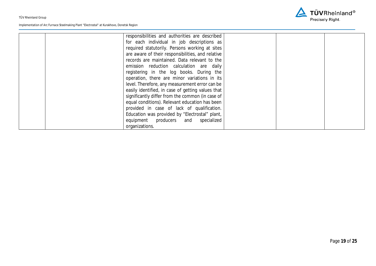

| responsibilities and authorities are described    |  |
|---------------------------------------------------|--|
| for each individual in job descriptions as        |  |
| required statutorily. Persons working at sites    |  |
| are aware of their responsibilities, and relative |  |
| records are maintained. Data relevant to the      |  |
| emission reduction calculation are daily          |  |
| registering in the log books. During the          |  |
| operation, there are minor variations in its      |  |
| level. Therefore, any measurement error can be    |  |
| easily identified, in case of getting values that |  |
| significantly differ from the common (in case of  |  |
| equal conditions). Relevant education has been    |  |
| provided in case of lack of qualification.        |  |
| Education was provided by "Electrostal" plant,    |  |
| equipment producers and specialized               |  |
| organizations.                                    |  |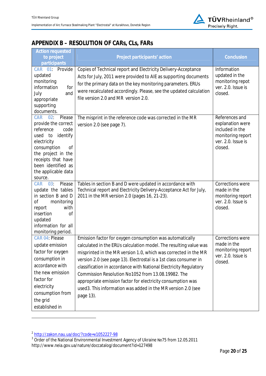

## **APPENDIX B – RESOLUTION OF CARs, CLs, FARs**

| <b>Action requested</b><br>to project<br>participants                                                                                                                                                                        | Project participants' action                                                                                                                                                                                                                                                                                                                                                                                                                                                                                                                 | Conclusion                                                                                                  |
|------------------------------------------------------------------------------------------------------------------------------------------------------------------------------------------------------------------------------|----------------------------------------------------------------------------------------------------------------------------------------------------------------------------------------------------------------------------------------------------------------------------------------------------------------------------------------------------------------------------------------------------------------------------------------------------------------------------------------------------------------------------------------------|-------------------------------------------------------------------------------------------------------------|
| CAR 01: Provide<br>updated<br>monitoring<br>information<br>for<br>and<br>July<br>appropriate<br>supporting<br>documents.                                                                                                     | Copies of Technical report and Electricity Delivery-Acceptance<br>Acts for July, 2011 were provided to AIE as supporting documents<br>for the primary data on the key monitoring parameters. ERUs<br>were recalculated accordingly. Please, see the updated calculation<br>file version 2.0 and MR version 2.0.                                                                                                                                                                                                                              | Information<br>updated in the<br>monitoring repot<br>ver. 2.0. Issue is<br>closed.                          |
| CAR 02:<br>Please<br>provide the correct<br>reference<br>code<br>identify<br>used to<br>electricity<br>consumption<br>0f<br>the project in the<br>receipts that have<br>been identified as<br>the applicable data<br>source. | The misprint in the reference code was corrected in the MR<br>version 2.0 (see page 7).                                                                                                                                                                                                                                                                                                                                                                                                                                                      | References and<br>explanation were<br>included in the<br>monitoring report<br>ver. 2.0. Issue is<br>closed. |
| Please<br><b>CAR</b><br>03 <sup>°</sup><br>update the tables<br>in section B and D<br>οf<br>monitoring<br>report<br>with<br>insertion<br><sub>of</sub><br>updated<br>information for all<br>monitoring period.               | Tables in section B and D were updated in accordance with<br>Technical report and Electricity Delivery-Acceptance Act for July,<br>2011 in the MR version 2.0 (pages 16, 21-23).                                                                                                                                                                                                                                                                                                                                                             | Corrections were<br>made in the<br>monitoring report<br>ver. 2.0. Issue is<br>closed.                       |
| CAR 04: Please<br>update emission<br>factor for oxygen<br>consumption in<br>accordance with<br>the new emission<br>factor for<br>electricity<br>consumption from<br>the grid<br>established in                               | Emission factor for oxygen consumption was automatically<br>calculated in the ERUs calculation model. The resulting value was<br>misprinted in the MR version 1.0, which was corrected in the MR<br>version 2.0 (see page 13). Electrostal is a 1st class consumer in<br>classification in accordance with National Electricity Regulatory<br>Commission Resolution No1052 from 13.08.19982. The<br>appropriate emission factor for electricity consumption was<br>used3. This information was added in the MR version 2.0 (see<br>page 13). | <b>Corrections were</b><br>made in the<br>monitoring report<br>ver. 2.0. Issue is<br>closed.                |

 $\overline{a}$ 

<sup>2</sup> http://zakon.nau.ua/doc/?code=v1052227-98 3 Order of the National Environmental Investment Agency of Ukraine ζ75 from 12.05.2011 http://www.neia.gov.ua/nature/doccatalog/document?id=127498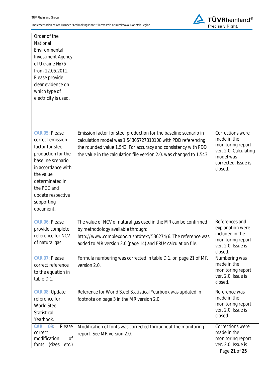

| Order of the<br>National<br>Environmental<br><b>Investment Agency</b><br>of Ukraine Nº75<br>from 12.05.2011.<br>Please provide<br>clear evidence on<br>which type of<br>electricity is used.                           |                                                                                                                                                                                                                                                                            |                                                                                                                              |
|------------------------------------------------------------------------------------------------------------------------------------------------------------------------------------------------------------------------|----------------------------------------------------------------------------------------------------------------------------------------------------------------------------------------------------------------------------------------------------------------------------|------------------------------------------------------------------------------------------------------------------------------|
| CAR 05: Please<br>correct emission<br>factor for steel<br>production for the<br>baseline scenario<br>in accordance with<br>the value<br>determinated in<br>the PDD and<br>update respective<br>supporting<br>document. | Emission factor for steel production for the baseline scenario in<br>calculation model was 1.54305727310108 with PDD referencing<br>the rounded value 1.543. For accuracy and consistency with PDD<br>the value in the calculation file version 2.0. was changed to 1.543. | Corrections were<br>made in the<br>monitoring report<br>ver. 2.0. Calculating<br>model was<br>corrected. Issue is<br>closed. |
| CAR 06: Please<br>provide complete<br>reference for NCV<br>of natural gas                                                                                                                                              | The value of NCV of natural gas used in the MR can be confirmed<br>by methodology available through:<br>http://www.complexdoc.ru/ntdtext/536274/6. The reference was<br>added to MR version 2.0 (page 14) and ERUs calculation file.                                       | References and<br>explanation were<br>included in the<br>monitoring report<br>ver. 2.0. Issue is<br>closed.                  |
| CAR 07: Please<br>correct reference<br>to the equation in<br>table D.1.                                                                                                                                                | Formula numbering was corrected in table D.1. on page 21 of MR<br>version 2.0.                                                                                                                                                                                             | Numbering was<br>made in the<br>monitoring report<br>ver. 2.0. Issue is<br>closed.                                           |
| CAR 08: Update<br>reference for<br><b>World Steel</b><br>Statistical<br>Yearbook.                                                                                                                                      | Reference for World Steel Statistical Yearbook was updated in<br>footnote on page 3 in the MR version 2.0.                                                                                                                                                                 | Reference was<br>made in the<br>monitoring report<br>ver. 2.0. Issue is<br>closed.                                           |
| CAR 09<br>Please<br>correct<br>0f<br>modification<br>fonts<br>(sizes<br>etc.)                                                                                                                                          | Modification of fonts was corrected throughout the monitoring<br>report. See MR version 2.0.                                                                                                                                                                               | Corrections were<br>made in the<br>monitoring report<br>ver. 2.0. Issue is                                                   |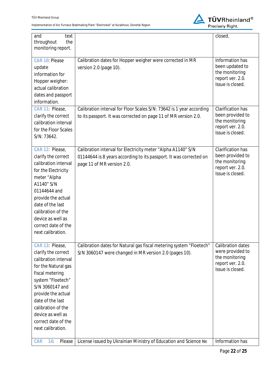

| and<br>text<br>the<br>throughout                                                                                                                                                                                                                                                  |                                                                                                                                                                  | closed.                                                                                                |
|-----------------------------------------------------------------------------------------------------------------------------------------------------------------------------------------------------------------------------------------------------------------------------------|------------------------------------------------------------------------------------------------------------------------------------------------------------------|--------------------------------------------------------------------------------------------------------|
| monitoring report.                                                                                                                                                                                                                                                                |                                                                                                                                                                  |                                                                                                        |
| CAR 10: Please<br>update<br>information for<br>Hopper weigher:<br>actual calibration<br>dates and passport<br>information.                                                                                                                                                        | Calibration dates for Hopper weigher were corrected in MR<br>version 2.0 (page 10).                                                                              | Information has<br>been updated to<br>the monitoring<br>report ver. 2.0.<br>Issue is closed.           |
| CAR 11: Please,<br>clarify the correct<br>calibration interval<br>for the Floor Scales<br>S/N: 73642.                                                                                                                                                                             | Calibration interval for Floor Scales S/N: 73642 is 1 year according<br>to its passport. It was corrected on page 11 of MR version 2.0.                          | <b>Clarification has</b><br>been provided to<br>the monitoring<br>report ver. 2.0.<br>Issue is closed. |
| CAR 12: Please,<br>clarify the correct<br>calibration interval<br>for the Electricity<br>meter "Alpha<br>A1140" S/N<br>01144644 and<br>provide the actual<br>date of the last<br>calibration of the<br>device as well as<br>correct date of the<br>next calibration.              | Calibration interval for Electricity meter "Alpha A1140" S/N<br>01144644 is 8 years according to its passport. It was corrected on<br>page 11 of MR version 2.0. | Clarification has<br>been provided to<br>the monitoring<br>report ver. 2.0.<br>Issue is closed.        |
| CAR 13: Please,<br>clarify the correct<br>calibration interval<br>for the Natural gas<br>fiscal metering<br>system "Floetech"<br>S/N 3060147 and<br>provide the actual<br>date of the last<br>calibration of the<br>device as well as<br>correct date of the<br>next calibration. | Calibration dates for Natural gas fiscal metering system "Floetech"<br>S/N 3060147 were changed in MR version 2.0 (pages 10).                                    | <b>Calibration dates</b><br>were provided to<br>the monitoring<br>report ver. 2.0.<br>Issue is closed. |
| Please<br><b>CAR</b><br>$14^\circ$                                                                                                                                                                                                                                                | License issued by Ukrainian Ministry of Education and Science Nº                                                                                                 | Information has                                                                                        |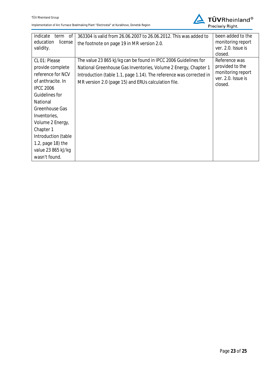

| indicate<br>term of<br>education<br>license<br>validity.                                                                                                                                                                                                                            | 363304 is valid from 26.06.2007 to 26.06.2012. This was added to<br>the footnote on page 19 in MR version 2.0.                                                                                                                                                   | been added to the<br>monitoring report<br>ver. 2.0. Issue is<br>closed.                |
|-------------------------------------------------------------------------------------------------------------------------------------------------------------------------------------------------------------------------------------------------------------------------------------|------------------------------------------------------------------------------------------------------------------------------------------------------------------------------------------------------------------------------------------------------------------|----------------------------------------------------------------------------------------|
| CL 01: Please<br>provide complete<br>reference for NCV<br>of anthracite. In<br><b>IPCC 2006</b><br>Guidelines for<br>National<br>Greenhouse Gas<br>Inventories,<br>Volume 2 Energy,<br>Chapter 1<br>Introduction (table<br>1.2, page 18) the<br>value 23 865 kJ/kg<br>wasn't found. | The value 23 865 kJ/kg can be found in IPCC 2006 Guidelines for<br>National Greenhouse Gas Inventories, Volume 2 Energy, Chapter 1<br>Introduction (table 1.1, page 1.14). The reference was corrected in<br>MR version 2.0 (page 15) and ERUs calculation file. | Reference was<br>provided to the<br>monitoring report<br>ver. 2.0. Issue is<br>closed. |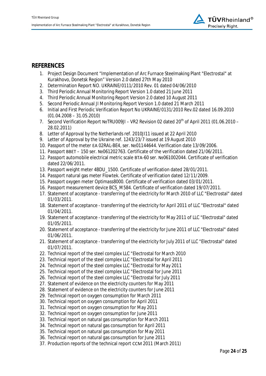

## **REFERENCES**

- 1. Project Design Document "Implementation of Arc Furnace Steelmaking Plant "Electrostal" at Kurakhovo, Donetsk Region" Version 2.0 dated 27th May 2010
- 2. Determination Report NO. UKRAINE/0111/2010 Rev. 01 dated 04/06/2010
- 3. Third Periodic Annual Monitoring Report Version 1.0 dated 21 June 2011
- 4. Third Periodic Annual Monitoring Report Version 2.0 dated 10 August 2011
- 5. Second Periodic Annual JI Monitoring Report Version 1.0 dated 21 March 2011
- 6. Initial and First Periodic Verification Report No UKRAINE/0131/2010 Rev.02 dated 16.09.2010  $(01.04.2008 - 31.05.2010)$
- 7. Second Verification Report NºTRU009JI VR2 Revision 02 dated 20<sup>th</sup> of April 2011 (01.06.2010 28.02.2011)
- 8. Letter of Approval by the Netherlands ref. 2010JI11 issued at 22 April 2010
- 9. Letter of Approval by the Ukraine ref. 1243/23/7 issued at 19 August 2010
- 10. Passport of the meter EA 02RAL-BE4, ser. Nº01144644. Verification date 13/09/2006.
- 11. Passport BBET 150 ser. Nº061202763. Certificate of the verification dated 21/06/2011.
- 12. Passport automobile electrical metric scale BTA-60 ser. Nº 061002044. Certificate of verification dated 22/06/2011.
- 13. Passport weight meter 4BDU\_1500. Certificate of verification dated 28/01/2011.
- 14. Passport natural gas meter Flowtek. Certificate of verification dated 12/11/2009.
- 15. Passport oxygen meter Optimass8000. Certificate of verification dated 03/01/2011.
- 16. Passport measurement device BCS\_M584. Certificate of verification dated 19/07/2011.
- 17. Statement of acceptance transferring of the electricity for March 2010 of LLC "Electrostal" dated 01/03/2011.
- 18. Statement of acceptance transferring of the electricity for April 2011 of LLC "Electrostal" dated 01/04/2011.
- 19. Statement of acceptance transferring of the electricity for May 2011 of LLC "Electrostal" dated 01/05/2011.
- 20. Statement of acceptance transferring of the electricity for June 2011 of LLC "Electrostal" dated 01/06/2011.
- 21. Statement of acceptance transferring of the electricity for July 2011 of LLC "Electrostal" dated 01/07/2011.
- 22. Technical report of the steel complex LLC "Electrostal for March 2010
- 23. Technical report of the steel complex LLC "Electrostal for April 2011
- 24. Technical report of the steel complex LLC "Electrostal for May 2011
- 25. Technical report of the steel complex LLC "Electrostal for June 2011
- 26. Technical report of the steel complex LLC "Electrostal for July 2011
- 27. Statement of evidence on the electricity counters for May 2011
- 28. Statement of evidence on the electricity counters for June 2011
- 29. Technical report on oxygen consumption for March 2011
- 30. Technical report on oxygen consumption for April 2011
- 31. Technical report on oxygen consumption for May 2011
- 32. Technical report on oxygen consumption for June 2011
- 33. Technical report on natural gas consumption for March 2011
- 34. Technical report on natural gas consumption for April 2011
- 35. Technical report on natural gas consumption for May 2011
- 36. Technical report on natural gas consumption for June 2011
- 37. Production reports of the technical report CCM 2011 (March 2011)